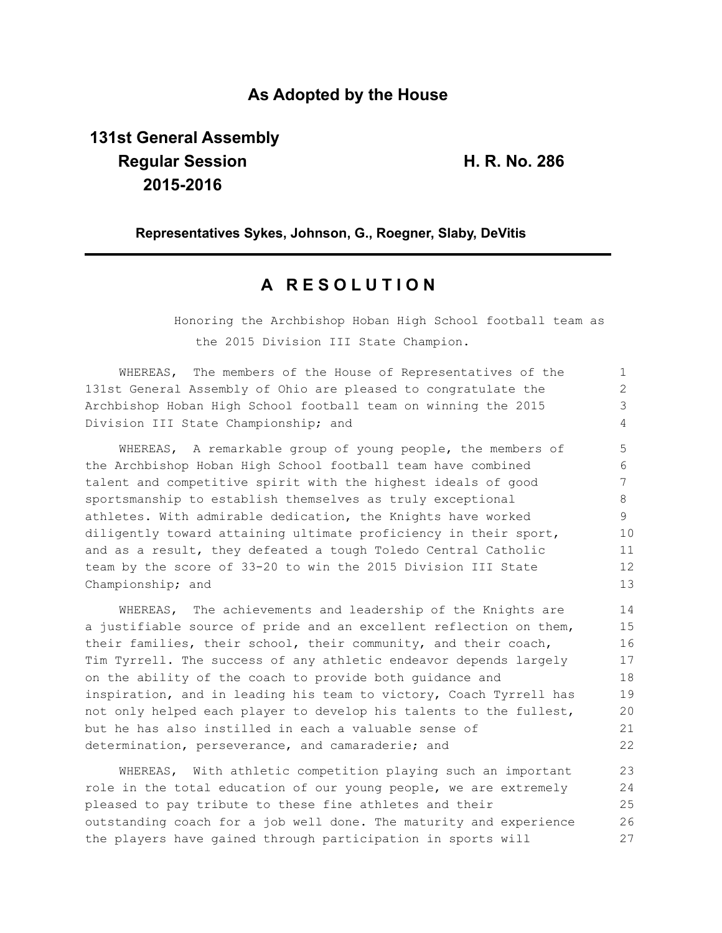### **As Adopted by the House**

# **131st General Assembly Regular Session H. R. No. 286 2015-2016**

**Representatives Sykes, Johnson, G., Roegner, Slaby, DeVitis**

## **A R E S O L U T I O N**

Honoring the Archbishop Hoban High School football team as the 2015 Division III State Champion.

| WHEREAS, The members of the House of Representatives of the      |               |
|------------------------------------------------------------------|---------------|
| 131st General Assembly of Ohio are pleased to congratulate the   | $\mathcal{L}$ |
| Archbishop Hoban High School football team on winning the 2015   | 3             |
| Division III State Championship; and                             | 4             |
| WHEREAS, A remarkable group of young people, the members of      | 5             |
| the Archbishop Hoban High School football team have combined     | 6             |
| talent and competitive spirit with the highest ideals of good    |               |
| sportsmanship to establish themselves as truly exceptional       | 8             |
| athletes. With admirable dedication, the Knights have worked     | 9             |
| diligently toward attaining ultimate proficiency in their sport, | 10            |
| and as a result, they defeated a tough Toledo Central Catholic   | 11            |
| team by the score of 33-20 to win the 2015 Division III State    | 12            |
| Championship; and                                                | 13            |

WHEREAS, The achievements and leadership of the Knights are a justifiable source of pride and an excellent reflection on them, their families, their school, their community, and their coach, Tim Tyrrell. The success of any athletic endeavor depends largely on the ability of the coach to provide both guidance and inspiration, and in leading his team to victory, Coach Tyrrell has not only helped each player to develop his talents to the fullest, but he has also instilled in each a valuable sense of determination, perseverance, and camaraderie; and 14 15 16 17 18 19 20 21 22

WHEREAS, With athletic competition playing such an important role in the total education of our young people, we are extremely pleased to pay tribute to these fine athletes and their outstanding coach for a job well done. The maturity and experience the players have gained through participation in sports will 23 24 25 26 27